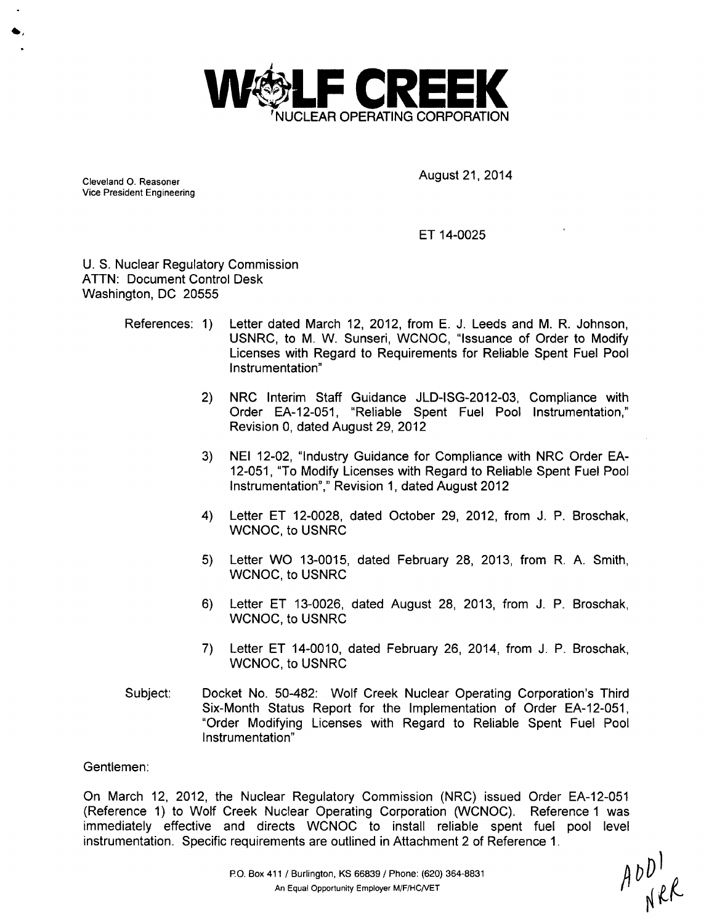

Cleveland O. Reasoner **August 21, 2014** Vice President Engineering

#### ET 14-0025

U. S. Nuclear Regulatory Commission ATTN: Document Control Desk Washington, DC 20555

- References: 1) Letter dated March 12, 2012, from E. J. Leeds and M. R. Johnson, USNRC, to M. W. Sunseri, WCNOC, "Issuance of Order to Modify Licenses with Regard to Requirements for Reliable Spent Fuel Pool Instrumentation"
	- 2) NRC Interim Staff Guidance JLD-ISG-2012-03, Compliance with Order EA-12-051, "Reliable Spent Fuel Pool Instrumentation," Revision 0, dated August 29, 2012
	- 3) NEI 12-02, "Industry Guidance for Compliance with NRC Order EA-12-051, "To Modify Licenses with Regard to Reliable Spent Fuel Pool Instrumentation"," Revision 1, dated August 2012
	- 4) Letter ET 12-0028, dated October 29, 2012, from J. P. Broschak, WCNOC, to USNRC
	- 5) Letter WO 13-0015, dated February 28, 2013, from R. A. Smith, WCNOC, to USNRC
	- 6) Letter ET 13-0026, dated August 28, 2013, from J. P. Broschak, WCNOC, to USNRC
	- 7) Letter ET 14-0010, dated February 26, 2014, from J. P. Broschak, WCNOC, to USNRC
- Subject: Docket No. 50-482: Wolf Creek Nuclear Operating Corporation's Third Six-Month Status Report for the Implementation of Order EA-12-051, "Order Modifying Licenses with Regard to Reliable Spent Fuel Pool Instrumentation"

#### Gentlemen:

On March 12, 2012, the Nuclear Regulatory Commission (NRC) issued Order EA-12-051 (Reference 1) to Wolf Creek Nuclear Operating Corporation (WCNOC). Reference **1** was immediately effective and directs WCNOC to install reliable spent fuel pool level instrumentation. Specific requirements are outlined in Attachment 2 of Reference 1.

 $AD^{\dagger}$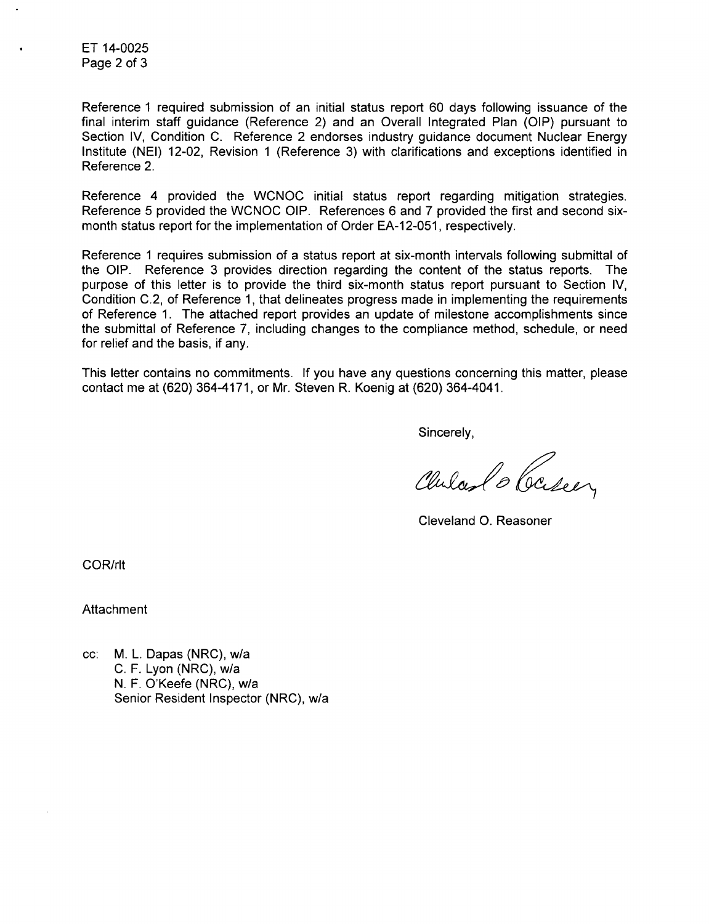ET 14-0025 Page 2 of 3

Reference 1 required submission of an initial status report 60 days following issuance of the final interim staff guidance (Reference 2) and an Overall Integrated Plan (OIP) pursuant to Section IV, Condition C. Reference 2 endorses industry guidance document Nuclear Energy Institute (NEI) 12-02, Revision 1 (Reference 3) with clarifications and exceptions identified in Reference 2.

Reference 4 provided the WCNOC initial status report regarding mitigation strategies. Reference 5 provided the WCNOC OIP. References 6 and 7 provided the first and second sixmonth status report for the implementation of Order EA-12-051, respectively.

Reference 1 requires submission of a status report at six-month intervals following submittal of the OIP. Reference 3 provides direction regarding the content of the status reports. The purpose of this letter is to provide the third six-month status report pursuant to Section IV, Condition C.2, of Reference 1, that delineates progress made in implementing the requirements of Reference 1. The attached report provides an update of milestone accomplishments since the submittal of Reference 7, including changes to the compliance method, schedule, or need for relief and the basis, if any.

This letter contains no commitments. If you have any questions concerning this matter, please contact me at (620) 364-4171, or Mr. Steven R. Koenig at (620) 364-4041.

Sincerely,

Chilas Case,

Cleveland **0.** Reasoner

COR/rlt

Attachment

cc: M. L. Dapas (NRC), w/a C. F. Lyon (NRC), w/a N. F. O'Keefe (NRC), w/a Senior Resident Inspector (NRC), w/a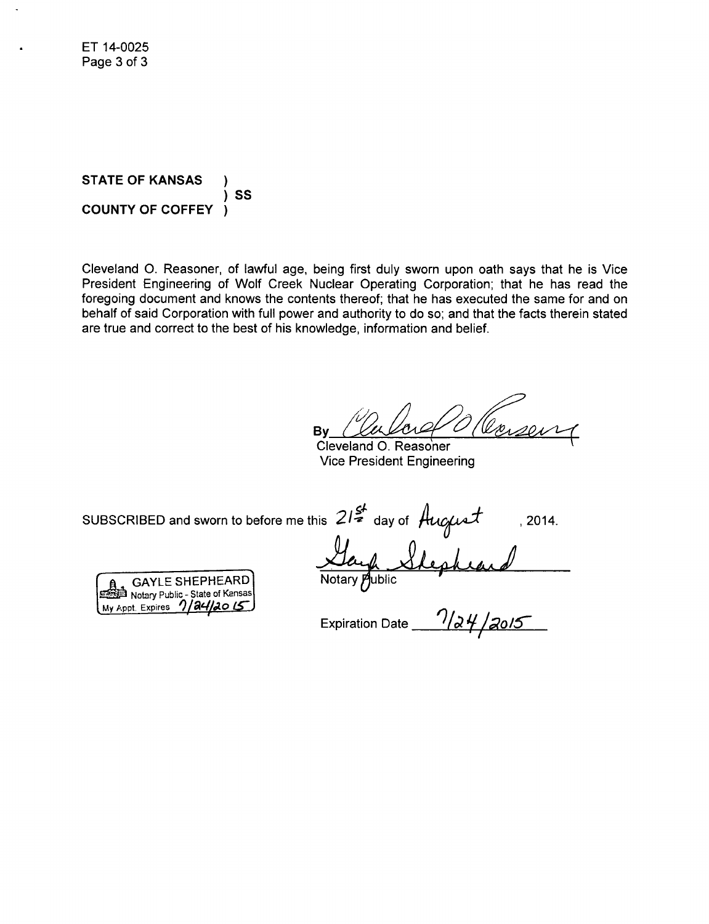**STATE OF KANSAS SS COUNTY OF COFFEY** 

Cleveland O. Reasoner, of lawful age, being first duly sworn upon oath says that he is Vice President Engineering of Wolf Creek Nuclear Operating Corporation; that he has read the foregoing document and knows the contents thereof; that he has executed the same for and on behalf of said Corporation with full power and authority to do so; and that the facts therein stated are true and correct to the best of his knowledge, information and belief.

Bv

Cleveland O. Reasoner **Vice President Engineering** 

, 2014.

SUBSCRIBED and sworn to before me this  $21\frac{g}{2}$  day of August ... 201.<br>
A SAYLE SHEPHEARD Notary Public State of Kansas<br>
Notary Public State of Kansas<br>
Notary Public Expires  $\frac{1}{2}$  Subset Expires  $\frac{1}{4}$  2015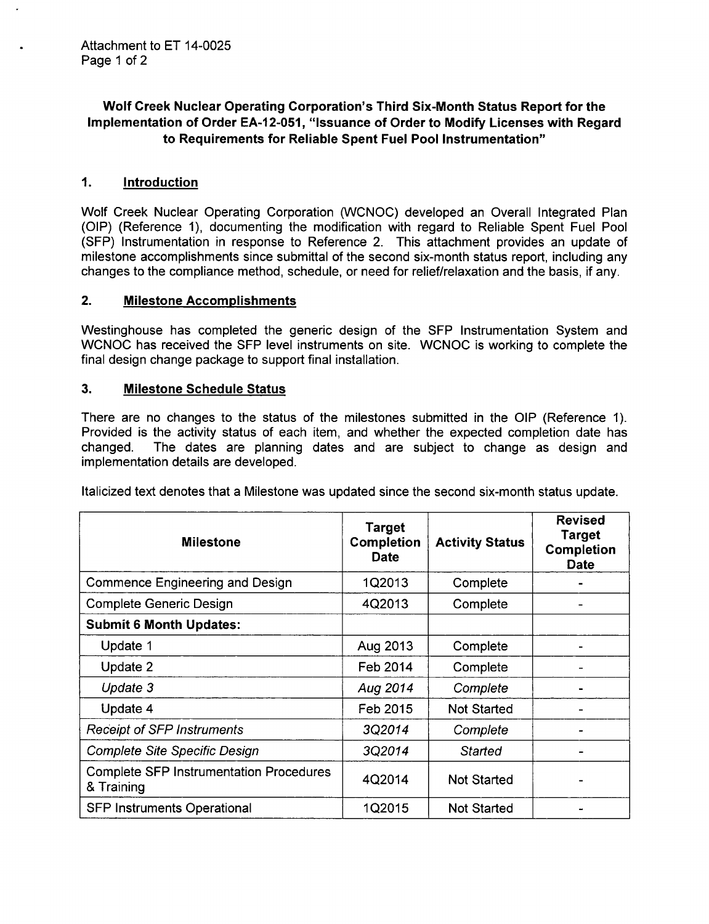# Wolf Creek Nuclear Operating Corporation's Third Six-Month Status Report for the Implementation of Order **EA-12-051,** "Issuance of Order to Modify Licenses with Regard to Requirements for Reliable Spent Fuel Pool Instrumentation"

## 1. Introduction

Wolf Creek Nuclear Operating Corporation (WCNOC) developed an Overall Integrated Plan (OIP) (Reference 1), documenting the modification with regard to Reliable Spent Fuel Pool (SFP) Instrumentation in response to Reference 2. This attachment provides an update of milestone accomplishments since submittal of the second six-month status report, including any changes to the compliance method, schedule, or need for relief/relaxation and the basis, if any.

#### 2. Milestone Accomplishments

Westinghouse has completed the generic design of the SFP Instrumentation System and WCNOC has received the **SFP** level instruments on site. WCNOC is working to complete the final design change package to support final installation.

## **3.** Milestone Schedule Status

There are no changes to the status of the milestones submitted in the OIP (Reference 1). Provided is the activity status of each item, and whether the expected completion date has changed. The dates are planning dates and are subject to change as design and implementation details are developed.

Italicized text denotes that a Milestone was updated since the second six-month status update.

| <b>Milestone</b>                                             | <b>Target</b><br><b>Completion</b><br><b>Date</b> | <b>Activity Status</b> | <b>Revised</b><br>Target<br>Completion<br><b>Date</b> |
|--------------------------------------------------------------|---------------------------------------------------|------------------------|-------------------------------------------------------|
| Commence Engineering and Design                              | 1Q2013                                            | Complete               |                                                       |
| <b>Complete Generic Design</b>                               | 4Q2013                                            | Complete               |                                                       |
| <b>Submit 6 Month Updates:</b>                               |                                                   |                        |                                                       |
| Update 1                                                     | Aug 2013                                          | Complete               |                                                       |
| Update 2                                                     | Feb 2014                                          | Complete               |                                                       |
| Update 3                                                     | Aug 2014                                          | Complete               |                                                       |
| Update 4                                                     | Feb 2015                                          | <b>Not Started</b>     |                                                       |
| <b>Receipt of SFP Instruments</b>                            | 3Q2014                                            | Complete               |                                                       |
| <b>Complete Site Specific Design</b>                         | 3Q2014                                            | Started                |                                                       |
| <b>Complete SFP Instrumentation Procedures</b><br>& Training | 4Q2014                                            | <b>Not Started</b>     |                                                       |
| <b>SFP Instruments Operational</b>                           | 1Q2015                                            | <b>Not Started</b>     |                                                       |